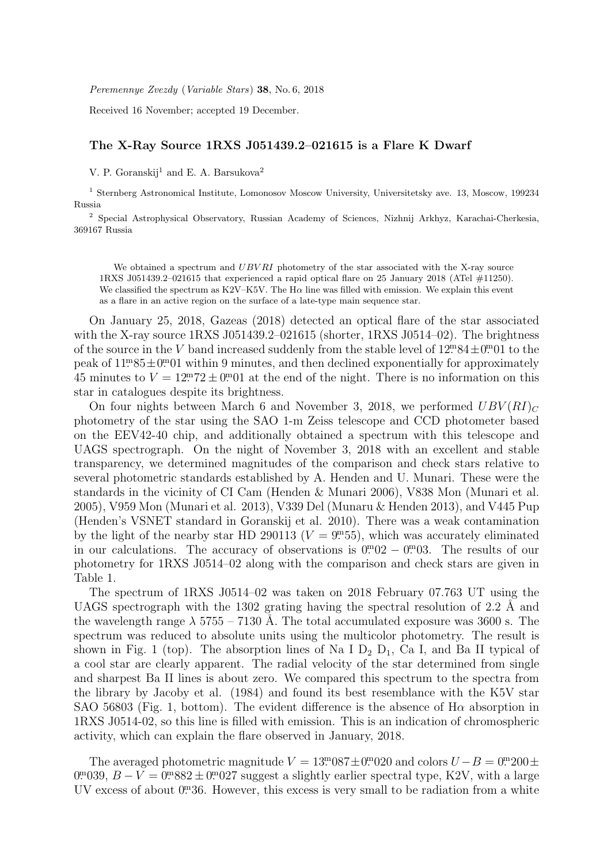*Peremennye Zvezdy* (*Variable Stars*) **38**, No. 6, 2018

Received 16 November; accepted 19 December.

## **The X-Ray Source 1RXS J051439.2–021615 is a Flare K Dwarf**

V. P. Goranskij<sup>1</sup> and E. A. Barsukova<sup>2</sup>

<sup>1</sup> Sternberg Astronomical Institute, Lomonosov Moscow University, Universitetsky ave. 13, Moscow, 199234 Russia

<sup>2</sup> Special Astrophysical Observatory, Russian Academy of Sciences, Nizhnij Arkhyz, Karachai-Cherkesia, 369167 Russia

We obtained a spectrum and *UBVRI* photometry of the star associated with the X-ray source 1RXS J051439.2–021615 that experienced a rapid optical flare on 25 January 2018 (ATel #11250). We classified the spectrum as K2V–K5V. The H*α* line was filled with emission. We explain this event as a flare in an active region on the surface of a late-type main sequence star.

On January 25, 2018, Gazeas (2018) detected an optical flare of the star associated with the X-ray source 1RXS J051439.2–021615 (shorter, 1RXS J0514–02). The brightness of the source in the *V* band increased suddenly from the stable level of  $12^{m}84 \pm 0^{m}01$  to the peak of  $11^{\text{m}}85 \pm 0^{\text{m}}01$  within 9 minutes, and then declined exponentially for approximately 45 minutes to  $V = 12<sup>m</sup>72 \pm 0<sup>m</sup>01$  at the end of the night. There is no information on this star in catalogues despite its brightness.

On four nights between March 6 and November 3, 2018, we performed  $UBV(RI)_C$ photometry of the star using the SAO 1-m Zeiss telescope and CCD photometer based on the EEV42-40 chip, and additionally obtained a spectrum with this telescope and UAGS spectrograph. On the night of November 3, 2018 with an excellent and stable transparency, we determined magnitudes of the comparison and check stars relative to several photometric standards established by A. Henden and U. Munari. These were the standards in the vicinity of CI Cam (Henden & Munari 2006), V838 Mon (Munari et al. 2005), V959 Mon (Munari et al. 2013), V339 Del (Munaru & Henden 2013), and V445 Pup (Henden's VSNET standard in Goranskij et al. 2010). There was a weak contamination by the light of the nearby star HD 290113 ( $V = 9.55$ ), which was accurately eliminated in our calculations. The accuracy of observations is  $0^{m}02 - 0^{m}03$ . The results of our photometry for 1RXS J0514–02 along with the comparison and check stars are given in Table 1.

The spectrum of 1RXS J0514–02 was taken on 2018 February 07.763 UT using the UAGS spectrograph with the 1302 grating having the spectral resolution of 2.2  $\AA$  and the wavelength range  $\lambda$  5755 – 7130 Å. The total accumulated exposure was 3600 s. The spectrum was reduced to absolute units using the multicolor photometry. The result is shown in Fig. 1 (top). The absorption lines of Na I  $D_2$   $D_1$ , Ca I, and Ba II typical of a cool star are clearly apparent. The radial velocity of the star determined from single and sharpest Ba II lines is about zero. We compared this spectrum to the spectra from the library by Jacoby et al. (1984) and found its best resemblance with the K5V star SAO 56803 (Fig. 1, bottom). The evident difference is the absence of  $H\alpha$  absorption in 1RXS J0514-02, so this line is filled with emission. This is an indication of chromospheric activity, which can explain the flare observed in January, 2018.

The averaged photometric magnitude  $V = 13^{m}087 \pm 0^{m}020$  and colors  $U - B = 0^{m}200 \pm 0^{m}020$  $0^{m}039, B-V = 0^{m}882 \pm 0^{m}027$  suggest a slightly earlier spectral type, K2V, with a large UV excess of about 0<sup>m</sup>36. However, this excess is very small to be radiation from a white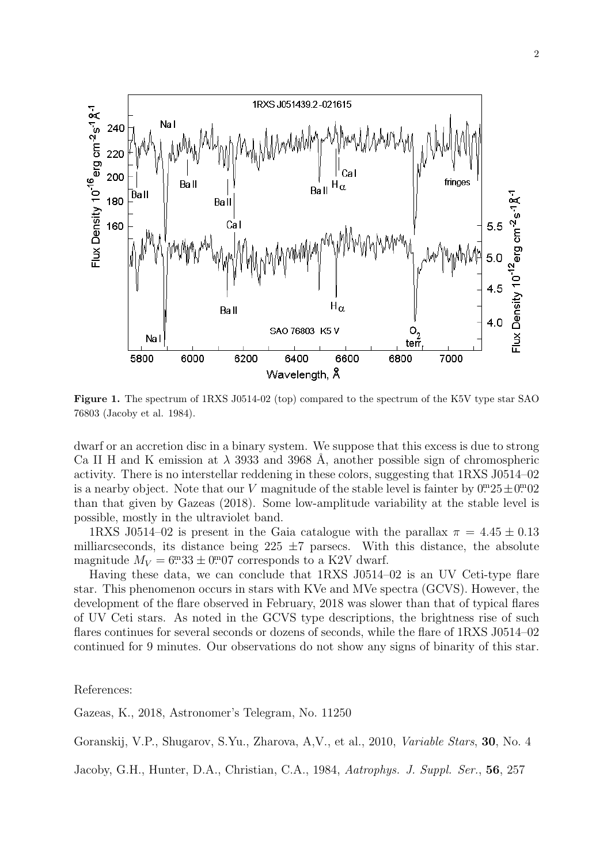

**Figure 1.** The spectrum of 1RXS J0514-02 (top) compared to the spectrum of the K5V type star SAO 76803 (Jacoby et al. 1984).

dwarf or an accretion disc in a binary system. We suppose that this excess is due to strong Ca II H and K emission at  $\lambda$  3933 and 3968 Å, another possible sign of chromospheric activity. There is no interstellar reddening in these colors, suggesting that 1RXS J0514–02 is a nearby object. Note that our *V* magnitude of the stable level is fainter by  $0^{\text{m}}25 \pm 0^{\text{m}}02$ than that given by Gazeas (2018). Some low-amplitude variability at the stable level is possible, mostly in the ultraviolet band.

1RXS J0514–02 is present in the Gaia catalogue with the parallax  $\pi = 4.45 \pm 0.13$ milliarcseconds, its distance being  $225 \pm 7$  parsecs. With this distance, the absolute magnitude  $M_V = 6m33 \pm 0m07$  corresponds to a K2V dwarf.

Having these data, we can conclude that 1RXS J0514–02 is an UV Ceti-type flare star. This phenomenon occurs in stars with KVe and MVe spectra (GCVS). However, the development of the flare observed in February, 2018 was slower than that of typical flares of UV Ceti stars. As noted in the GCVS type descriptions, the brightness rise of such flares continues for several seconds or dozens of seconds, while the flare of 1RXS J0514–02 continued for 9 minutes. Our observations do not show any signs of binarity of this star.

References:

Gazeas, K., 2018, Astronomer's Telegram, No. 11250

Goranskij, V.P., Shugarov, S.Yu., Zharova, A,V., et al., 2010, *Variable Stars*, **30**, No. 4

Jacoby, G.H., Hunter, D.A., Christian, C.A., 1984, *Aatrophys. J. Suppl. Ser.*, **56**, 257